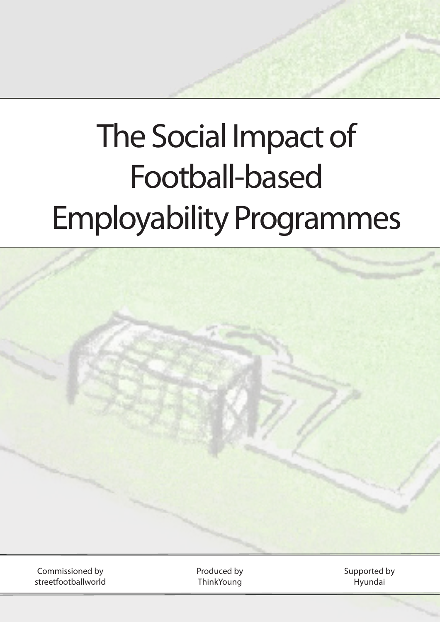# The Social Impact of Football-based Employability Programmes



Commissioned by streetfootballworld Produced by **ThinkYoung** 

Supported by Hyundai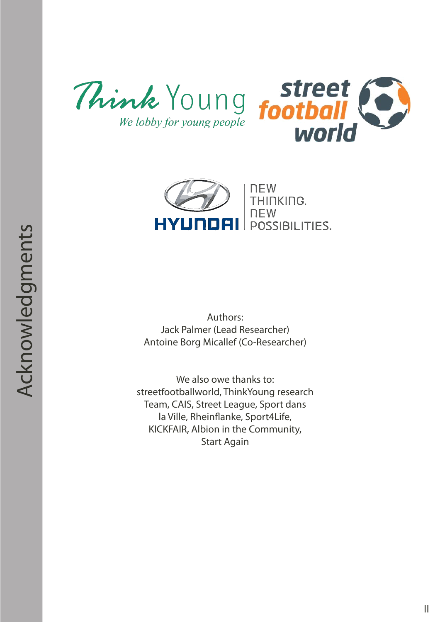





Authors: Jack Palmer (Lead Researcher) Antoine Borg Micallef (Co-Researcher)

We also owe thanks to: streetfootballworld, ThinkYoung research Team, CAIS, Street League, Sport dans la Ville, Rheinflanke, Sport4Life, KICKFAIR, Albion in the Community, Start Again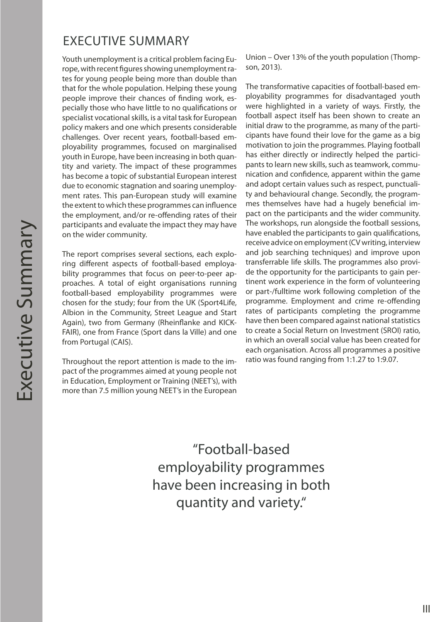## EXECUTIVE SUMMARY

Youth unemployment is a critical problem facing Europe, with recent figures showing unemployment rates for young people being more than double than that for the whole population. Helping these young people improve their chances of finding work, especially those who have little to no qualifications or specialist vocational skills, is a vital task for European policy makers and one which presents considerable challenges. Over recent years, football-based employability programmes, focused on marginalised youth in Europe, have been increasing in both quantity and variety. The impact of these programmes has become a topic of substantial European interest due to economic stagnation and soaring unemployment rates. This pan-European study will examine the extent to which these programmes can influence the employment, and/or re-offending rates of their participants and evaluate the impact they may have on the wider community.

The report comprises several sections, each exploring different aspects of football-based employability programmes that focus on peer-to-peer approaches. A total of eight organisations running football-based employability programmes were chosen for the study; four from the UK (Sport4Life, Albion in the Community, Street League and Start Again), two from Germany (Rheinflanke and KICK-FAIR), one from France (Sport dans la Ville) and one from Portugal (CAIS).

Throughout the report attention is made to the impact of the programmes aimed at young people not in Education, Employment or Training (NEET's), with more than 7.5 million young NEET's in the European

Union – Over 13% of the youth population (Thompson, 2013).

The transformative capacities of football-based employability programmes for disadvantaged youth were highlighted in a variety of ways. Firstly, the football aspect itself has been shown to create an initial draw to the programme, as many of the participants have found their love for the game as a big motivation to join the programmes. Playing football has either directly or indirectly helped the participants to learn new skills, such as teamwork, communication and confidence, apparent within the game and adopt certain values such as respect, punctuality and behavioural change. Secondly, the programmes themselves have had a hugely beneficial impact on the participants and the wider community. The workshops, run alongside the football sessions, have enabled the participants to gain qualifications, receive advice on employment (CV writing, interview and job searching techniques) and improve upon transferrable life skills. The programmes also provide the opportunity for the participants to gain pertinent work experience in the form of volunteering or part-/fulltime work following completion of the programme. Employment and crime re-offending rates of participants completing the programme have then been compared against national statistics to create a Social Return on Investment (SROI) ratio, in which an overall social value has been created for each organisation. Across all programmes a positive ratio was found ranging from 1:1.27 to 1:9.07.

"Football-based employability programmes have been increasing in both quantity and variety."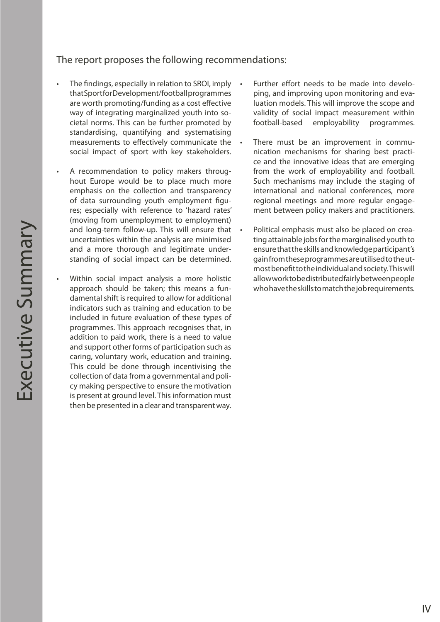#### The report proposes the following recommendations:

- The findings, especially in relation to SROI, imply that Sport for Development/football programmes are worth promoting/funding as a cost effective way of integrating marginalized youth into societal norms. This can be further promoted by standardising, quantifying and systematising measurements to effectively communicate the social impact of sport with key stakeholders.
- A recommendation to policy makers throughout Europe would be to place much more emphasis on the collection and transparency of data surrounding youth employment figures; especially with reference to 'hazard rates' (moving from unemployment to employment) and long-term follow-up. This will ensure that uncertainties within the analysis are minimised and a more thorough and legitimate understanding of social impact can be determined.
- Within social impact analysis a more holistic approach should be taken; this means a fundamental shift is required to allow for additional indicators such as training and education to be included in future evaluation of these types of programmes. This approach recognises that, in addition to paid work, there is a need to value and support other forms of participation such as caring, voluntary work, education and training. This could be done through incentivising the collection of data from a governmental and policy making perspective to ensure the motivation is present at ground level. This information must then be presented in a clear and transparent way.
- Further effort needs to be made into developing, and improving upon monitoring and evaluation models. This will improve the scope and validity of social impact measurement within football-based employability programmes.
- There must be an improvement in communication mechanisms for sharing best practice and the innovative ideas that are emerging from the work of employability and football. Such mechanisms may include the staging of international and national conferences, more regional meetings and more regular engagement between policy makers and practitioners.
- Political emphasis must also be placed on creating attainable jobs for the marginalised youth to ensure that the skills and knowledge participant's gain from these programmes are utilised to the utmost benefit to the individual and society. This will allow work to be distributed fairly between people who have the skills to match the job requirements.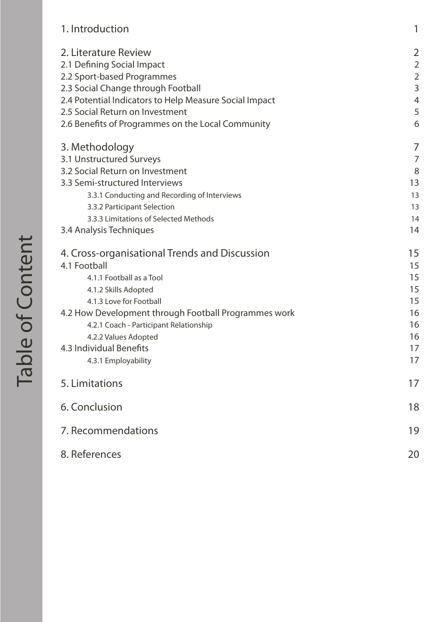| 1. Introduction                                        | 1              |
|--------------------------------------------------------|----------------|
| 2. Literature Review                                   | $\overline{2}$ |
| 2.1 Defining Social Impact                             | $\overline{2}$ |
| 2.2 Sport-based Programmes                             | $\overline{2}$ |
| 2.3 Social Change through Football                     | 3              |
| 2.4 Potential Indicators to Help Measure Social Impact | $\overline{4}$ |
| 2.5 Social Return on Investment                        | 5              |
| 2.6 Benefits of Programmes on the Local Community      | 6              |
| 3. Methodology                                         | 7              |
| 3.1 Unstructured Surveys                               | 7              |
| 3.2 Social Return on Investment                        | 8              |
| 3.3 Semi-structured Interviews                         | 13             |
| 3.3.1 Conducting and Recording of Interviews           | 13             |
| 3.3.2 Participant Selection                            | 13             |
| 3.3.3 Limitations of Selected Methods                  | 14             |
| 3.4 Analysis Techniques                                | 14             |
| 4. Cross-organisational Trends and Discussion          | 15             |
| 4.1 Football                                           | 15             |
| 4.1.1 Football as a Tool                               | 15             |
| 4.1.2 Skills Adopted                                   | 15             |
| 4.1.3 Love for Football                                | 15             |
| 4.2 How Development through Football Programmes work   | 16             |
| 4.2.1 Coach - Participant Relationship                 | 16             |
| 4.2.2 Values Adopted                                   | 16             |
| 4.3 Individual Benefits                                | 17             |
| 4.3.1 Employability                                    | 17             |
| 5. Limitations                                         | 17             |
| 6. Conclusion                                          | 18             |
| 7. Recommendations                                     | 19             |
| 8. References                                          | 20             |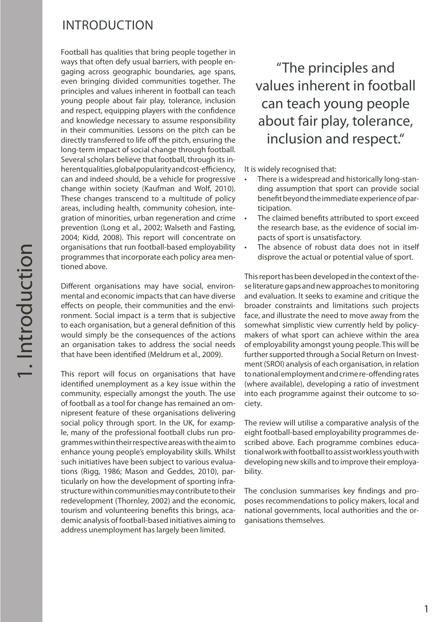## INTRODUCTION

Football has qualities that bring people together in ways that often defy usual barriers, with people engaging across geographic boundaries, age spans, even bringing divided communities together. The principles and values inherent in football can teach young people about fair play, tolerance, inclusion and respect, equipping players with the confidence and knowledge necessary to assume responsibility in their communities. Lessons on the pitch can be directly transferred to life off the pitch, ensuring the long-term impact of social change through football. Several scholars believe that football, through its inherent qualities, global popularity and cost-efficiency, can and indeed should, be a vehicle for progressive change within society (Kaufman and Wolf, 2010). These changes transcend to a multitude of policy areas, including health, community cohesion, integration of minorities, urban regeneration and crime prevention (Long et al., 2002; Walseth and Fasting, 2004; Kidd, 2008). This report will concentrate on organisations that run football-based employability programmes that incorporate each policy area mentioned above.

Different organisations may have social, environmental and economic impacts that can have diverse effects on people, their communities and the environment. Social impact is a term that is subjective to each organisation, but a general definition of this would simply be the consequences of the actions an organisation takes to address the social needs that have been identified (Meldrum et al., 2009).

This report will focus on organisations that have identified unemployment as a key issue within the community, especially amongst the youth. The use of football as a tool for change has remained an omnipresent feature of these organisations delivering social policy through sport. In the UK, for example, many of the professional football clubs run programmes within their respective areas with the aim to enhance young people's employability skills. Whilst such initiatives have been subject to various evaluations (Rigg, 1986; Mason and Geddes, 2010), particularly on how the development of sporting infrastructure within communities may contribute to their redevelopment (Thornley, 2002) and the economic, tourism and volunteering benefits this brings, academic analysis of football-based initiatives aiming to address unemployment has largely been limited.

## "The principles and values inherent in football can teach young people about fair play, tolerance, inclusion and respect."

It is widely recognised that:

- There is a widespread and historically long-standing assumption that sport can provide social benefit beyond the immediate experience of participation.
- The claimed benefits attributed to sport exceed the research base, as the evidence of social impacts of sport is unsatisfactory.
- The absence of robust data does not in itself disprove the actual or potential value of sport.

This report has been developed in the context of these literature gaps and new approaches to monitoring and evaluation. It seeks to examine and critique the broader constraints and limitations such projects face, and illustrate the need to move away from the somewhat simplistic view currently held by policymakers of what sport can achieve within the area of employability amongst young people. This will be further supported through a Social Return on Investment (SROI) analysis of each organisation, in relation to national employment and crime re-offending rates (where available), developing a ratio of investment into each programme against their outcome to society.

The review will utilise a comparative analysis of the eight football-based employability programmes described above. Each programme combines educational work with football to assist workless youth with developing new skills and to improve their employability.

The conclusion summarises key findings and proposes recommendations to policy makers, local and national governments, local authorities and the organisations themselves.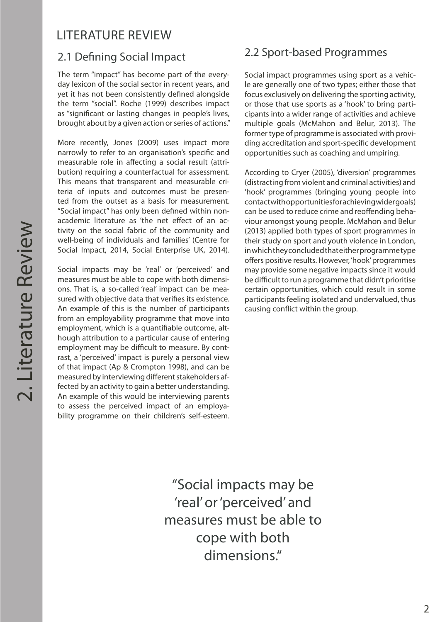## LITERATURE REVIEW

The term "impact" has become part of the everyday lexicon of the social sector in recent years, and yet it has not been consistently defined alongside the term "social". Roche (1999) describes impact as "significant or lasting changes in people's lives, brought about by a given action or series of actions."

More recently, Jones (2009) uses impact more narrowly to refer to an organisation's specific and measurable role in affecting a social result (attribution) requiring a counterfactual for assessment. This means that transparent and measurable criteria of inputs and outcomes must be presented from the outset as a basis for measurement. "Social impact" has only been defined within nonacademic literature as 'the net effect of an activity on the social fabric of the community and well-being of individuals and families' (Centre for Social Impact, 2014, Social Enterprise UK, 2014).

Social impacts may be 'real' or 'perceived' and measures must be able to cope with both dimensions. That is, a so-called 'real' impact can be measured with objective data that verifies its existence. An example of this is the number of participants from an employability programme that move into employment, which is a quantifiable outcome, although attribution to a particular cause of entering employment may be difficult to measure. By contrast, a 'perceived' impact is purely a personal view of that impact (Ap & Crompton 1998), and can be measured by interviewing different stakeholders affected by an activity to gain a better understanding. An example of this would be interviewing parents to assess the perceived impact of an employability programme on their children's self-esteem.

## 2.1 Defining Social Impact 2.2 Sport-based Programmes

Social impact programmes using sport as a vehicle are generally one of two types; either those that focus exclusively on delivering the sporting activity, or those that use sports as a 'hook' to bring participants into a wider range of activities and achieve multiple goals (McMahon and Belur, 2013). The former type of programme is associated with providing accreditation and sport-specific development opportunities such as coaching and umpiring.

According to Cryer (2005), 'diversion' programmes (distracting from violent and criminal activities) and 'hook' programmes (bringing young people into contact with opportunities for achieving wider goals) can be used to reduce crime and reoffending behaviour amongst young people. McMahon and Belur (2013) applied both types of sport programmes in their study on sport and youth violence in London, in which they concluded that either programme type offers positive results. However, 'hook' programmes may provide some negative impacts since it would be difficult to run a programme that didn't prioritise certain opportunities, which could result in some participants feeling isolated and undervalued, thus causing conflict within the group.

"Social impacts may be 'real' or 'perceived' and measures must be able to cope with both dimensions."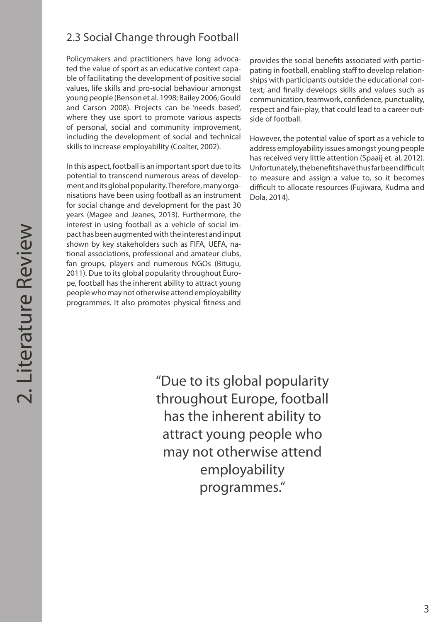## 2.3 Social Change through Football

Policymakers and practitioners have long advocated the value of sport as an educative context capable of facilitating the development of positive social values, life skills and pro-social behaviour amongst young people (Benson et al. 1998; Bailey 2006; Gould and Carson 2008). Projects can be 'needs based', where they use sport to promote various aspects of personal, social and community improvement, including the development of social and technical skills to increase employability (Coalter, 2002).

In this aspect, football is an important sport due to its potential to transcend numerous areas of development and its global popularity. Therefore, many organisations have been using football as an instrument for social change and development for the past 30 years (Magee and Jeanes, 2013). Furthermore, the interest in using football as a vehicle of social impact has been augmented with the interest and input shown by key stakeholders such as FIFA, UEFA, national associations, professional and amateur clubs, fan groups, players and numerous NGOs (Bitugu, 2011). Due to its global popularity throughout Europe, football has the inherent ability to attract young people who may not otherwise attend employability programmes. It also promotes physical fitness and

provides the social benefits associated with participating in football, enabling staff to develop relationships with participants outside the educational context; and finally develops skills and values such as communication, teamwork, confidence, punctuality, respect and fair-play, that could lead to a career outside of football.

However, the potential value of sport as a vehicle to address employability issues amongst young people has received very little attention (Spaaij et. al, 2012). Unfortunately, the benefits have thus far been difficult to measure and assign a value to, so it becomes difficult to allocate resources (Fujiwara, Kudma and Dola, 2014).

"Due to its global popularity throughout Europe, football has the inherent ability to attract young people who may not otherwise attend employability programmes."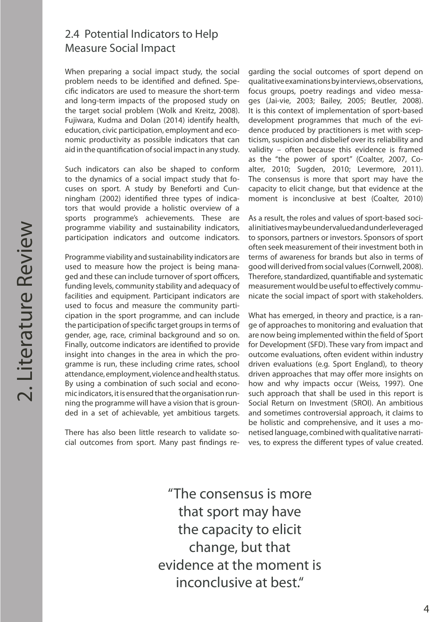#### 2.4 Potential Indicators to Help Measure Social Impact

When preparing a social impact study, the social problem needs to be identified and defined. Specific indicators are used to measure the short-term and long-term impacts of the proposed study on the target social problem (Wolk and Kreitz, 2008). Fujiwara, Kudma and Dolan (2014) identify health, education, civic participation, employment and economic productivity as possible indicators that can aid in the quantification of social impact in any study.

Such indicators can also be shaped to conform to the dynamics of a social impact study that focuses on sport. A study by Beneforti and Cunningham (2002) identified three types of indicators that would provide a holistic overview of a sports programme's achievements. These are programme viability and sustainability indicators, participation indicators and outcome indicators.

Programme viability and sustainability indicators are used to measure how the project is being managed and these can include turnover of sport officers, funding levels, community stability and adequacy of facilities and equipment. Participant indicators are used to focus and measure the community participation in the sport programme, and can include the participation of specific target groups in terms of gender, age, race, criminal background and so on. Finally, outcome indicators are identified to provide insight into changes in the area in which the programme is run, these including crime rates, school attendance, employment, violence and health status. By using a combination of such social and economic indicators, it is ensured that the organisation running the programme will have a vision that is grounded in a set of achievable, yet ambitious targets.

There has also been little research to validate social outcomes from sport. Many past findings re-

garding the social outcomes of sport depend on qualitative examinations by interviews, observations, focus groups, poetry readings and video messages (Jai-vie, 2003; Bailey, 2005; Beutler, 2008). It is this context of implementation of sport-based development programmes that much of the evidence produced by practitioners is met with scepticism, suspicion and disbelief over its reliability and validity – often because this evidence is framed as the "the power of sport" (Coalter, 2007, Coalter, 2010; Sugden, 2010; Levermore, 2011). The consensus is more that sport may have the capacity to elicit change, but that evidence at the moment is inconclusive at best (Coalter, 2010)

As a result, the roles and values of sport-based social initiatives may be undervalued and underleveraged to sponsors, partners or investors. Sponsors of sport often seek measurement of their investment both in terms of awareness for brands but also in terms of good will derived from social values (Cornwell, 2008). Therefore, standardized, quantifiable and systematic measurement would be useful to effectively communicate the social impact of sport with stakeholders.

What has emerged, in theory and practice, is a range of approaches to monitoring and evaluation that are now being implemented within the field of Sport for Development (SFD). These vary from impact and outcome evaluations, often evident within industry driven evaluations (e.g. Sport England), to theory driven approaches that may offer more insights on how and why impacts occur (Weiss, 1997). One such approach that shall be used in this report is Social Return on Investment (SROI). An ambitious and sometimes controversial approach, it claims to be holistic and comprehensive, and it uses a monetised language, combined with qualitative narratives, to express the different types of value created.

"The consensus is more that sport may have the capacity to elicit change, but that evidence at the moment is inconclusive at best."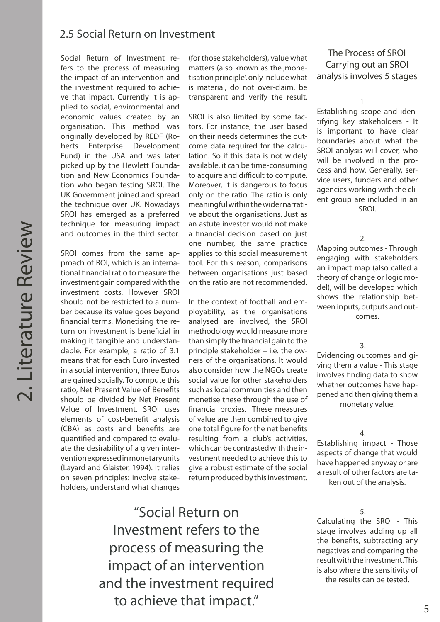#### 2.5 Social Return on Investment

Social Return of Investment refers to the process of measuring the impact of an intervention and the investment required to achieve that impact. Currently it is applied to social, environmental and economic values created by an organisation. This method was originally developed by REDF (Roberts Enterprise Development Fund) in the USA and was later picked up by the Hewlett Foundation and New Economics Foundation who began testing SROI. The UK Government joined and spread the technique over UK. Nowadays SROI has emerged as a preferred technique for measuring impact and outcomes in the third sector.

SROI comes from the same approach of ROI, which is an international financial ratio to measure the investment gain compared with the investment costs. However SROI should not be restricted to a number because its value goes beyond financial terms. Monetising the return on investment is beneficial in making it tangible and understandable. For example, a ratio of 3:1 means that for each Euro invested in a social intervention, three Euros are gained socially. To compute this ratio, Net Present Value of Benefits should be divided by Net Present Value of Investment. SROI uses elements of cost-benefit analysis (CBA) as costs and benefits are quantified and compared to evaluate the desirability of a given intervention expressed in monetary units (Layard and Glaister, 1994). It relies on seven principles: involve stakeholders, understand what changes

(for those stakeholders), value what matters (also known as the monetisation principle', only include what is material, do not over-claim, be transparent and verify the result.

SROI is also limited by some factors. For instance, the user based on their needs determines the outcome data required for the calculation. So if this data is not widely available, it can be time-consuming to acquire and difficult to compute. Moreover, it is dangerous to focus only on the ratio. The ratio is only meaningful within the wider narrative about the organisations. Just as an astute investor would not make a financial decision based on just one number, the same practice applies to this social measurement tool. For this reason, comparisons between organisations just based on the ratio are not recommended.

In the context of football and employability, as the organisations analysed are involved, the SROI methodology would measure more than simply the financial gain to the principle stakeholder – i.e. the owners of the organisations. It would also consider how the NGOs create social value for other stakeholders such as local communities and then monetise these through the use of financial proxies. These measures of value are then combined to give one total figure for the net benefits resulting from a club's activities, which can be contrasted with the investment needed to achieve this to give a robust estimate of the social return produced by this investment.

"Social Return on Investment refers to the process of measuring the impact of an intervention and the investment required to achieve that impact."

#### The Process of SROI Carrying out an SROI analysis involves 5 stages

1.

Establishing scope and identifying key stakeholders - It is important to have clear boundaries about what the SROI analysis will cover, who will be involved in the process and how. Generally, service users, funders and other agencies working with the client group are included in an SROI.

2.

Mapping outcomes - Through engaging with stakeholders an impact map (also called a theory of change or logic model), will be developed which shows the relationship between inputs, outputs and outcomes.

3.

Evidencing outcomes and giving them a value - This stage involves finding data to show whether outcomes have happened and then giving them a monetary value.

4.

Establishing impact - Those aspects of change that would have happened anyway or are a result of other factors are ta-

ken out of the analysis.

#### 5.

Calculating the SROI - This stage involves adding up all the benefits, subtracting any negatives and comparing the result with the investment. This is also where the sensitivity of the results can be tested.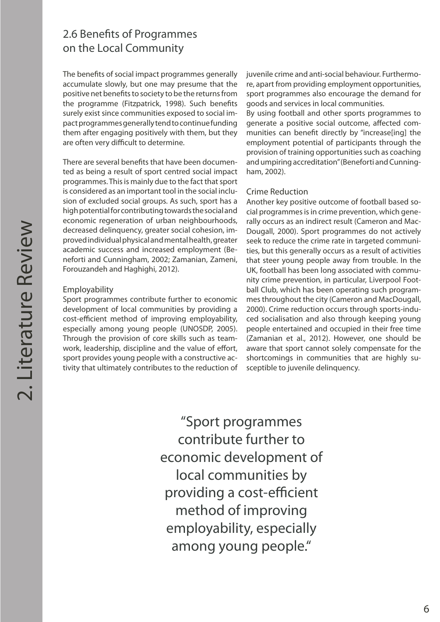## 2.6 Benefits of Programmes on the Local Community

The benefits of social impact programmes generally accumulate slowly, but one may presume that the positive net benefits to society to be the returns from the programme (Fitzpatrick, 1998). Such benefits surely exist since communities exposed to social impact programmes generally tend to continue funding them after engaging positively with them, but they are often very difficult to determine.

There are several benefits that have been documented as being a result of sport centred social impact programmes. This is mainly due to the fact that sport is considered as an important tool in the social inclusion of excluded social groups. As such, sport has a high potential for contributing towards the social and economic regeneration of urban neighbourhoods, decreased delinquency, greater social cohesion, improved individual physical and mental health, greater academic success and increased employment (Beneforti and Cunningham, 2002; Zamanian, Zameni, Forouzandeh and Haghighi, 2012).

#### Employability

Sport programmes contribute further to economic development of local communities by providing a cost-efficient method of improving employability, especially among young people (UNOSDP, 2005). Through the provision of core skills such as teamwork, leadership, discipline and the value of effort, sport provides young people with a constructive activity that ultimately contributes to the reduction of juvenile crime and anti-social behaviour. Furthermore, apart from providing employment opportunities, sport programmes also encourage the demand for goods and services in local communities.

By using football and other sports programmes to generate a positive social outcome, affected communities can benefit directly by "increase[ing] the employment potential of participants through the provision of training opportunities such as coaching and umpiring accreditation" (Beneforti and Cunningham, 2002).

#### Crime Reduction

Another key positive outcome of football based social programmes is in crime prevention, which generally occurs as an indirect result (Cameron and Mac-Dougall, 2000). Sport programmes do not actively seek to reduce the crime rate in targeted communities, but this generally occurs as a result of activities that steer young people away from trouble. In the UK, football has been long associated with community crime prevention, in particular, Liverpool Football Club, which has been operating such programmes throughout the city (Cameron and MacDougall, 2000). Crime reduction occurs through sports-induced socialisation and also through keeping young people entertained and occupied in their free time (Zamanian et al., 2012). However, one should be aware that sport cannot solely compensate for the shortcomings in communities that are highly susceptible to juvenile delinquency.

"Sport programmes contribute further to economic development of local communities by providing a cost-efficient method of improving employability, especially among young people."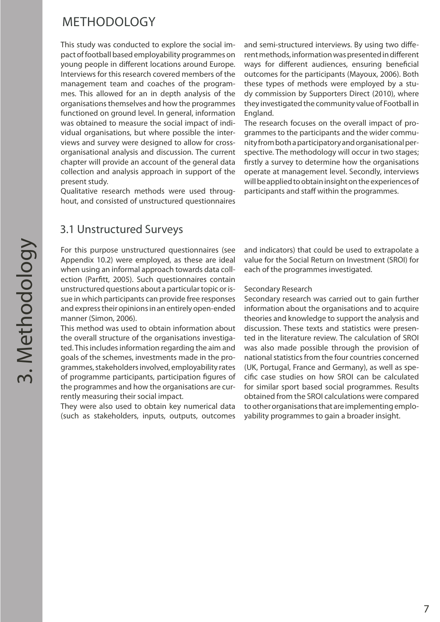## METHODOLOGY

This study was conducted to explore the social impact of football based employability programmes on young people in different locations around Europe. Interviews for this research covered members of the management team and coaches of the programmes. This allowed for an in depth analysis of the organisations themselves and how the programmes functioned on ground level. In general, information was obtained to measure the social impact of individual organisations, but where possible the interviews and survey were designed to allow for crossorganisational analysis and discussion. The current chapter will provide an account of the general data collection and analysis approach in support of the present study.

Qualitative research methods were used throughout, and consisted of unstructured questionnaires

### 3.1 Unstructured Surveys

For this purpose unstructured questionnaires (see Appendix 10.2) were employed, as these are ideal when using an informal approach towards data collection (Parfitt, 2005). Such questionnaires contain unstructured questions about a particular topic or issue in which participants can provide free responses and express their opinions in an entirely open-ended manner (Simon, 2006).

This method was used to obtain information about the overall structure of the organisations investigated. This includes information regarding the aim and goals of the schemes, investments made in the programmes, stakeholders involved, employability rates of programme participants, participation figures of the programmes and how the organisations are currently measuring their social impact.

They were also used to obtain key numerical data (such as stakeholders, inputs, outputs, outcomes

and semi-structured interviews. By using two different methods, information was presented in different ways for different audiences, ensuring beneficial outcomes for the participants (Mayoux, 2006). Both these types of methods were employed by a study commission by Supporters Direct (2010), where they investigated the community value of Football in England.

The research focuses on the overall impact of programmes to the participants and the wider community from both a participatory and organisational perspective. The methodology will occur in two stages; firstly a survey to determine how the organisations operate at management level. Secondly, interviews will be applied to obtain insight on the experiences of participants and staff within the programmes.

and indicators) that could be used to extrapolate a value for the Social Return on Investment (SROI) for each of the programmes investigated.

#### Secondary Research

Secondary research was carried out to gain further information about the organisations and to acquire theories and knowledge to support the analysis and discussion. These texts and statistics were presented in the literature review. The calculation of SROI was also made possible through the provision of national statistics from the four countries concerned (UK, Portugal, France and Germany), as well as specific case studies on how SROI can be calculated for similar sport based social programmes. Results obtained from the SROI calculations were compared to other organisations that are implementing employability programmes to gain a broader insight.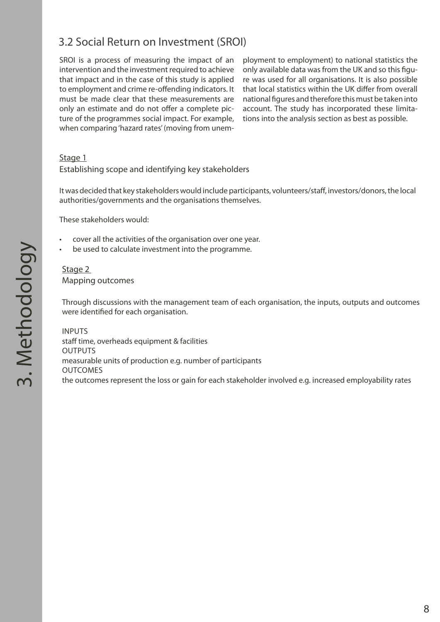## 3.2 Social Return on Investment (SROI)

SROI is a process of measuring the impact of an intervention and the investment required to achieve that impact and in the case of this study is applied to employment and crime re-offending indicators. It must be made clear that these measurements are only an estimate and do not offer a complete picture of the programmes social impact. For example, when comparing 'hazard rates' (moving from unem-

ployment to employment) to national statistics the only available data was from the UK and so this figure was used for all organisations. It is also possible that local statistics within the UK differ from overall national figures and therefore this must be taken into account. The study has incorporated these limitations into the analysis section as best as possible.

#### Stage 1

#### Establishing scope and identifying key stakeholders

It was decided that key stakeholders would include participants, volunteers/staff, investors/donors, the local authorities/governments and the organisations themselves.

These stakeholders would:

- cover all the activities of the organisation over one year.
- be used to calculate investment into the programme.

#### Stage 2 Mapping outcomes

Through discussions with the management team of each organisation, the inputs, outputs and outcomes were identified for each organisation.

INPUTS staff time, overheads equipment & facilities **OUTPUTS** measurable units of production e.g. number of participants OUTCOMES the outcomes represent the loss or gain for each stakeholder involved e.g. increased employability rates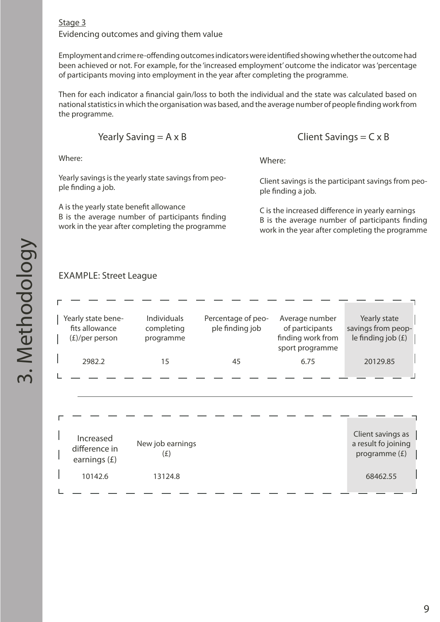#### Stage 3 Evidencing outcomes and giving them value

Employment and crime re-offending outcomes indicators were identified showing whether the outcome had been achieved or not. For example, for the 'increased employment' outcome the indicator was 'percentage of participants moving into employment in the year after completing the programme.

Then for each indicator a financial gain/loss to both the individual and the state was calculated based on national statistics in which the organisation was based, and the average number of people finding work from the programme.

Yearly Saving  $= A \times B$ 

Where:

Yearly savings is the yearly state savings from people finding a job.

A is the yearly state benefit allowance B is the average number of participants finding work in the year after completing the programme Client Savings  $= C \times B$ 

Where:

Client savings is the participant savings from people finding a job.

C is the increased difference in yearly earnings B is the average number of participants finding work in the year after completing the programme

#### EXAMPLE: Street League

| Yearly state bene-<br>fits allowance<br>$(E)/per$ person | Individuals<br>completing<br>programme | Percentage of peo-<br>ple finding job | Average number<br>of participants<br>finding work from<br>sport programme | Yearly state<br>savings from peop-<br>le finding job $(E)$ |
|----------------------------------------------------------|----------------------------------------|---------------------------------------|---------------------------------------------------------------------------|------------------------------------------------------------|
| 2982.2                                                   | 15                                     | 45                                    | 6.75                                                                      | 20129.85                                                   |
|                                                          |                                        |                                       |                                                                           |                                                            |
|                                                          |                                        |                                       |                                                                           |                                                            |
|                                                          |                                        |                                       |                                                                           |                                                            |
|                                                          |                                        |                                       |                                                                           |                                                            |
| Increased<br>difference in<br>earnings $(E)$             | New job earnings<br>(E)                |                                       |                                                                           | Client savings as<br>a result fo joining<br>programme (£)  |
| 10142.6                                                  | 13124.8                                |                                       |                                                                           | 68462.55                                                   |
|                                                          |                                        |                                       |                                                                           |                                                            |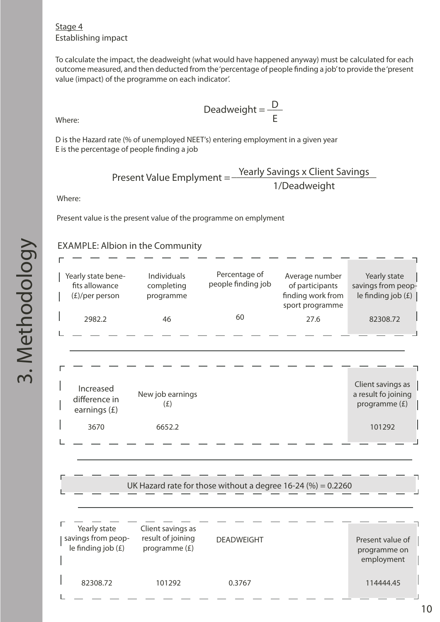#### Stage 4 Establishing impact

To calculate the impact, the deadweight (what would have happened anyway) must be calculated for each outcome measured, and then deducted from the 'percentage of people finding a job' to provide the 'present value (impact) of the programme on each indicator'.

Where:

D is the Hazard rate (% of unemployed NEET's) entering employment in a given year E is the percentage of people finding a job

Present Value Emplyment = 
$$
\frac{\text{Yearly Savings} \times \text{Client Savings}}{1/\text{Deadweight}}
$$

Deadweight =  $\frac{D}{D}$ 

E

Where:

Present value is the present value of the programme on emplyment

#### EXAMPLE: Albion in the Community

| Yearly state bene-<br>fits allowance<br>$(E)/per$ person | Individuals<br>completing<br>programme                  | Percentage of<br>people finding job                            | Average number<br>of participants<br>finding work from<br>sport programme | Yearly state<br>savings from peop-<br>le finding job $(E)$ |
|----------------------------------------------------------|---------------------------------------------------------|----------------------------------------------------------------|---------------------------------------------------------------------------|------------------------------------------------------------|
| 2982.2                                                   | 46                                                      | 60                                                             | 27.6                                                                      | 82308.72                                                   |
|                                                          |                                                         |                                                                |                                                                           |                                                            |
|                                                          |                                                         |                                                                |                                                                           |                                                            |
|                                                          |                                                         |                                                                |                                                                           |                                                            |
| Increased<br>difference in<br>earnings $(f)$             | New job earnings<br>(E)                                 |                                                                |                                                                           | Client savings as<br>a result fo joining<br>programme (£)  |
| 3670                                                     | 6652.2                                                  |                                                                |                                                                           | 101292                                                     |
|                                                          |                                                         |                                                                |                                                                           |                                                            |
|                                                          |                                                         |                                                                |                                                                           |                                                            |
|                                                          |                                                         | UK Hazard rate for those without a degree $16-24$ (%) = 0.2260 |                                                                           |                                                            |
|                                                          |                                                         |                                                                |                                                                           |                                                            |
| Yearly state<br>savings from peop-<br>le finding job (£) | Client savings as<br>result of joining<br>programme (£) | <b>DEADWEIGHT</b>                                              |                                                                           | Present value of<br>programme on                           |

82308.72 101292 0.3767 114444.45

employment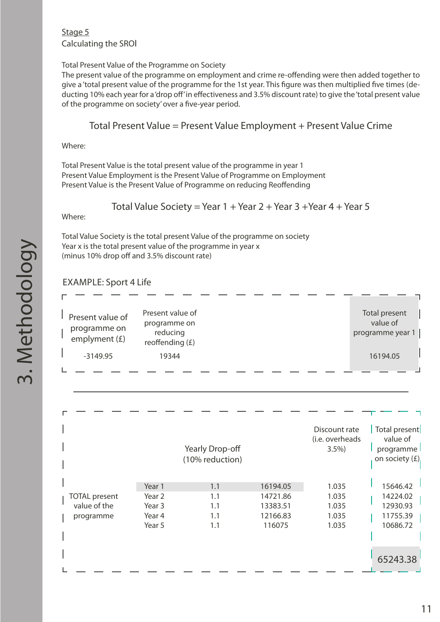#### Stage 5 Calculating the SROI

#### Total Present Value of the Programme on Society

The present value of the programme on employment and crime re-offending were then added together to give a 'total present value of the programme for the 1st year. This figure was then multiplied five times (deducting 10% each year for a 'drop off' in effectiveness and 3.5% discount rate) to give the 'total present value of the programme on society' over a five-year period.

#### Total Present Value = Present Value Employment + Present Value Crime

Where:

Total Present Value is the total present value of the programme in year 1 Present Value Employment is the Present Value of Programme on Employment Present Value is the Present Value of Programme on reducing Reoffending

#### Total Value Society = Year  $1 +$  Year  $2 +$  Year  $3 +$  Year  $4 +$  Year  $5$

Where:

Total Value Society is the total present Value of the programme on society Year x is the total present value of the programme in year x (minus 10% drop off and 3.5% discount rate)

#### EXAMPLE: Sport 4 Life

| Present value of<br>programme on<br>emplyment $(f)$<br>$-3149.95$ | Present value of<br>programme on<br>reducing<br>reoffending (£)<br>19344 |                                    |                                                        |                                           | Total present<br>value of<br>programme year 1<br>16194.05  |
|-------------------------------------------------------------------|--------------------------------------------------------------------------|------------------------------------|--------------------------------------------------------|-------------------------------------------|------------------------------------------------------------|
|                                                                   |                                                                          | Yearly Drop-off<br>(10% reduction) |                                                        | Discount rate<br>(i.e. overheads<br>3.5%  | Total present<br>value of<br>programme<br>on society $(E)$ |
| <b>TOTAL</b> present<br>value of the<br>programme                 | Year 1<br>Year <sub>2</sub><br>Year <sub>3</sub><br>Year 4<br>Year 5     | 1.1<br>1.1<br>1.1<br>1.1<br>1.1    | 16194.05<br>14721.86<br>13383.51<br>12166.83<br>116075 | 1.035<br>1.035<br>1.035<br>1.035<br>1.035 | 15646.42<br>14224.02<br>12930.93<br>11755.39<br>10686.72   |
|                                                                   |                                                                          |                                    |                                                        |                                           | 65243.38                                                   |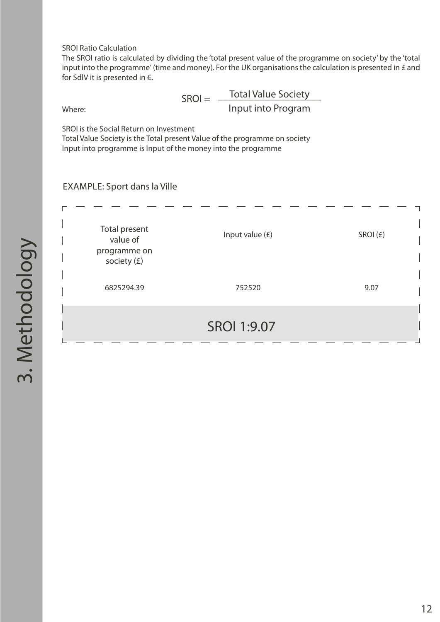SROI Ratio Calculation

The SROI ratio is calculated by dividing the 'total present value of the programme on society' by the 'total input into the programme' (time and money). For the UK organisations the calculation is presented in £ and for SdlV it is presented in  $\epsilon$ .

Where:

SROI = \_\_\_\_\_\_\_\_\_\_\_\_\_\_\_\_\_\_\_\_ Total Value Society Input into Program

SROI is the Social Return on Investment

Total Value Society is the Total present Value of the programme on society Input into programme is Input of the money into the programme

EXAMPLE: Sport dans la Ville

| Total present<br>value of<br>programme on<br>society (£) | Input value $(E)$  | SROI(£) |
|----------------------------------------------------------|--------------------|---------|
| 6825294.39                                               | 752520             | 9.07    |
|                                                          | <b>SROI 1:9.07</b> |         |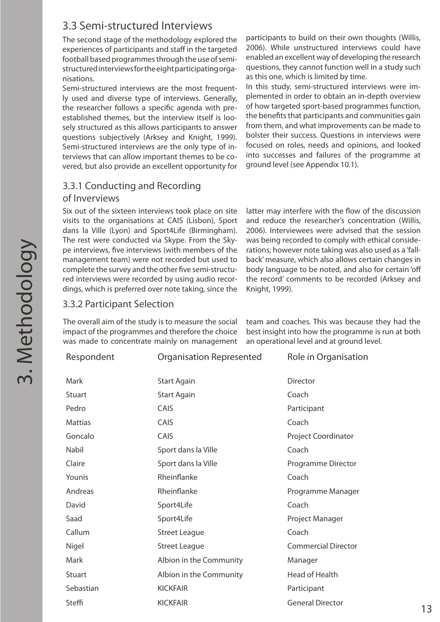## 3.3 Semi-structured Interviews

The second stage of the methodology explored the experiences of participants and staff in the targeted football based programmes through the use of semistructured interviews for the eight participating organisations.

Semi-structured interviews are the most frequently used and diverse type of interviews. Generally, the researcher follows a specific agenda with preestablished themes, but the interview itself is loosely structured as this allows participants to answer questions subjectively (Arksey and Knight, 1999). Semi-structured interviews are the only type of interviews that can allow important themes to be covered, but also provide an excellent opportunity for

#### 3.3.1 Conducting and Recording

#### of Inverviews

Six out of the sixteen interviews took place on site visits to the organisations at CAIS (Lisbon), Sport dans la Ville (Lyon) and Sport4Life (Birmingham). The rest were conducted via Skype. From the Skype interviews, five interviews (with members of the management team) were not recorded but used to complete the survey and the other five semi-structured interviews were recorded by using audio recordings, which is preferred over note taking, since the participants to build on their own thoughts (Willis, 2006). While unstructured interviews could have enabled an excellent way of developing the research questions, they cannot function well in a study such as this one, which is limited by time.

In this study, semi-structured interviews were implemented in order to obtain an in-depth overview of how targeted sport-based programmes function, the benefits that participants and communities gain from them, and what improvements can be made to bolster their success. Questions in interviews were focused on roles, needs and opinions, and looked into successes and failures of the programme at ground level (see Appendix 10.1).

latter may interfere with the flow of the discussion and reduce the researcher's concentration (Willis, 2006). Interviewees were advised that the session was being recorded to comply with ethical considerations; however note taking was also used as a 'fallback' measure, which also allows certain changes in body language to be noted, and also for certain 'off the record' comments to be recorded (Arksey and Knight, 1999).

#### 3.3.2 Participant Selection

The overall aim of the study is to measure the social impact of the programmes and therefore the choice was made to concentrate mainly on management team and coaches. This was because they had the best insight into how the programme is run at both an operational level and at ground level.

| Respondent     | Organisation Represented | Role in Organisation       |  |
|----------------|--------------------------|----------------------------|--|
| Mark           | <b>Start Again</b>       | <b>Director</b>            |  |
| Stuart         | <b>Start Again</b>       | Coach                      |  |
| Pedro          | CAIS                     | Participant                |  |
| <b>Mattias</b> | CAIS                     | Coach                      |  |
| Goncalo        | CAIS                     | Project Coordinator        |  |
| Nabil          | Sport dans la Ville      | Coach                      |  |
| Claire         | Sport dans la Ville      | Programme Director         |  |
| Younis         | Rheinflanke              | Coach                      |  |
| Andreas        | Rheinflanke              | Programme Manager          |  |
| David          | Sport4Life               | Coach                      |  |
| Saad           | Sport4Life               | Project Manager            |  |
| Callum         | <b>Street League</b>     | Coach                      |  |
| Nigel          | <b>Street League</b>     | <b>Commercial Director</b> |  |
| Mark           | Albion in the Community  | Manager                    |  |
| <b>Stuart</b>  | Albion in the Community  | Head of Health             |  |
| Sebastian      | <b>KICKFAIR</b>          | Participant                |  |
| Steffi         | <b>KICKFAIR</b>          | <b>General Director</b>    |  |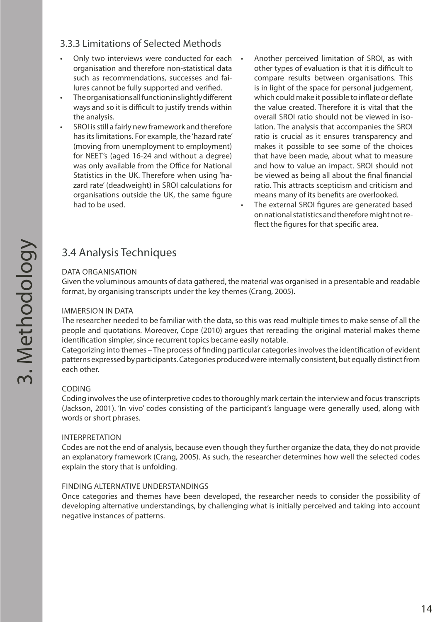#### 3.3.3 Limitations of Selected Methods

- Only two interviews were conducted for each organisation and therefore non-statistical data such as recommendations, successes and failures cannot be fully supported and verified.
- The organisations all function in slightly different ways and so it is difficult to justify trends within the analysis.
- SROI is still a fairly new framework and therefore has its limitations. For example, the 'hazard rate' (moving from unemployment to employment) for NEET's (aged 16-24 and without a degree) was only available from the Office for National Statistics in the UK. Therefore when using 'hazard rate' (deadweight) in SROI calculations for organisations outside the UK, the same figure had to be used.
- Another perceived limitation of SROI, as with other types of evaluation is that it is difficult to compare results between organisations. This is in light of the space for personal judgement, which could make it possible to inflate or deflate the value created. Therefore it is vital that the overall SROI ratio should not be viewed in isolation. The analysis that accompanies the SROI ratio is crucial as it ensures transparency and makes it possible to see some of the choices that have been made, about what to measure and how to value an impact. SROI should not be viewed as being all about the final financial ratio. This attracts scepticism and criticism and means many of its benefits are overlooked.
- The external SROI figures are generated based on national statistics and therefore might not reflect the figures for that specific area.

## 3.4 Analysis Techniques

#### DATA ORGANISATION

Given the voluminous amounts of data gathered, the material was organised in a presentable and readable format, by organising transcripts under the key themes (Crang, 2005).

#### IMMERSION IN DATA

The researcher needed to be familiar with the data, so this was read multiple times to make sense of all the people and quotations. Moreover, Cope (2010) argues that rereading the original material makes theme identification simpler, since recurrent topics became easily notable.

Categorizing into themes – The process of finding particular categories involves the identification of evident patterns expressed by participants. Categories produced were internally consistent, but equally distinct from each other.

#### CODING

Coding involves the use of interpretive codes to thoroughly mark certain the interview and focus transcripts (Jackson, 2001). 'In vivo' codes consisting of the participant's language were generally used, along with words or short phrases.

#### INTERPRETATION

Codes are not the end of analysis, because even though they further organize the data, they do not provide an explanatory framework (Crang, 2005). As such, the researcher determines how well the selected codes explain the story that is unfolding.

#### FINDING ALTERNATIVE UNDERSTANDINGS

Once categories and themes have been developed, the researcher needs to consider the possibility of developing alternative understandings, by challenging what is initially perceived and taking into account negative instances of patterns.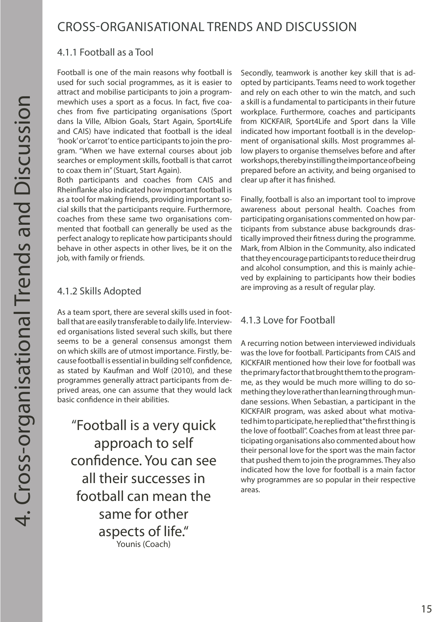## CROSS-ORGANISATIONAL TRENDS AND DISCUSSION

#### 4.1.1 Football as a Tool

Football is one of the main reasons why football is used for such social programmes, as it is easier to attract and mobilise participants to join a programmewhich uses a sport as a focus. In fact, five coaches from five participating organisations (Sport dans la Ville, Albion Goals, Start Again, Sport4Life and CAIS) have indicated that football is the ideal 'hook' or 'carrot' to entice participants to join the program. "When we have external courses about job searches or employment skills, football is that carrot to coax them in" (Stuart, Start Again).

Both participants and coaches from CAIS and Rheinflanke also indicated how important football is as a tool for making friends, providing important social skills that the participants require. Furthermore, coaches from these same two organisations commented that football can generally be used as the perfect analogy to replicate how participants should behave in other aspects in other lives, be it on the job, with family or friends.

### 4.1.2 Skills Adopted

As a team sport, there are several skills used in football that are easily transferable to daily life. Interviewed organisations listed several such skills, but there seems to be a general consensus amongst them on which skills are of utmost importance. Firstly, because football is essential in building self confidence, as stated by Kaufman and Wolf (2010), and these programmes generally attract participants from deprived areas, one can assume that they would lack basic confidence in their abilities.

"Football is a very quick approach to self confidence. You can see all their successes in football can mean the same for other aspects of life." Younis (Coach)

Secondly, teamwork is another key skill that is adopted by participants. Teams need to work together and rely on each other to win the match, and such a skill is a fundamental to participants in their future workplace. Furthermore, coaches and participants from KICKFAIR, Sport4Life and Sport dans la Ville indicated how important football is in the development of organisational skills. Most programmes allow players to organise themselves before and after workshops, thereby instilling the importance of being prepared before an activity, and being organised to clear up after it has finished.

Finally, football is also an important tool to improve awareness about personal health. Coaches from participating organisations commented on how participants from substance abuse backgrounds drastically improved their fitness during the programme. Mark, from Albion in the Community, also indicated that they encourage participants to reduce their drug and alcohol consumption, and this is mainly achieved by explaining to participants how their bodies are improving as a result of regular play.

#### 4.1.3 Love for Football

A recurring notion between interviewed individuals was the love for football. Participants from CAIS and KICKFAIR mentioned how their love for football was the primary factor that brought them to the programme, as they would be much more willing to do something they love rather than learning through mundane sessions. When Sebastian, a participant in the KICKFAIR program, was asked about what motivated him to participate, he replied that "the first thing is the love of football". Coaches from at least three participating organisations also commented about how their personal love for the sport was the main factor that pushed them to join the programmes. They also indicated how the love for football is a main factor why programmes are so popular in their respective areas.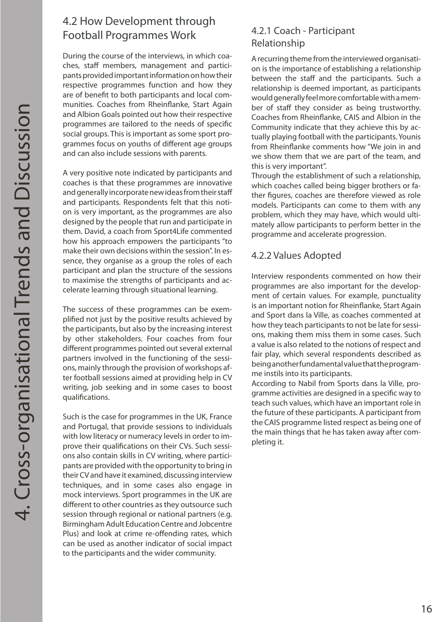## 4.2 How Development through Football Programmes Work

During the course of the interviews, in which coaches, staff members, management and participants provided important information on how their respective programmes function and how they are of benefit to both participants and local communities. Coaches from Rheinflanke, Start Again and Albion Goals pointed out how their respective programmes are tailored to the needs of specific social groups. This is important as some sport programmes focus on youths of different age groups and can also include sessions with parents.

A very positive note indicated by participants and coaches is that these programmes are innovative and generally incorporate new ideas from their staff and participants. Respondents felt that this notion is very important, as the programmes are also designed by the people that run and participate in them. David, a coach from Sport4Life commented how his approach empowers the participants "to make their own decisions within the session". In essence, they organise as a group the roles of each participant and plan the structure of the sessions to maximise the strengths of participants and accelerate learning through situational learning.

The success of these programmes can be exemplified not just by the positive results achieved by the participants, but also by the increasing interest by other stakeholders. Four coaches from four different programmes pointed out several external partners involved in the functioning of the sessions, mainly through the provision of workshops after football sessions aimed at providing help in CV writing, job seeking and in some cases to boost qualifications.

Such is the case for programmes in the UK, France and Portugal, that provide sessions to individuals with low literacy or numeracy levels in order to improve their qualifications on their CVs. Such sessions also contain skills in CV writing, where participants are provided with the opportunity to bring in their CV and have it examined, discussing interview techniques, and in some cases also engage in mock interviews. Sport programmes in the UK are different to other countries as they outsource such session through regional or national partners (e.g. Birmingham Adult Education Centre and Jobcentre Plus) and look at crime re-offending rates, which can be used as another indicator of social impact to the participants and the wider community.

#### 4.2.1 Coach - Participant Relationship

A recurring theme from the interviewed organisation is the importance of establishing a relationship between the staff and the participants. Such a relationship is deemed important, as participants would generally feel more comfortable with a member of staff they consider as being trustworthy. Coaches from Rheinflanke, CAIS and Albion in the Community indicate that they achieve this by actually playing football with the participants. Younis from Rheinflanke comments how "We join in and we show them that we are part of the team, and this is very important".

Through the establishment of such a relationship, which coaches called being bigger brothers or father figures, coaches are therefore viewed as role models. Participants can come to them with any problem, which they may have, which would ultimately allow participants to perform better in the programme and accelerate progression.

#### 4.2.2 Values Adopted

Interview respondents commented on how their programmes are also important for the development of certain values. For example, punctuality is an important notion for Rheinflanke, Start Again and Sport dans la Ville, as coaches commented at how they teach participants to not be late for sessions, making them miss them in some cases. Such a value is also related to the notions of respect and fair play, which several respondents described as being another fundamental value that the programme instils into its participants.

According to Nabil from Sports dans la Ville, programme activities are designed in a specific way to teach such values, which have an important role in the future of these participants. A participant from the CAIS programme listed respect as being one of the main things that he has taken away after completing it.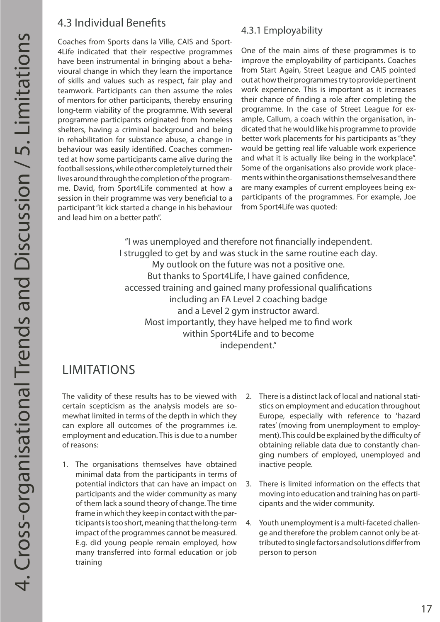## 4.3 Individual Benefits

Coaches from Sports dans la Ville, CAIS and Sport-4Life indicated that their respective programmes have been instrumental in bringing about a behavioural change in which they learn the importance of skills and values such as respect, fair play and teamwork. Participants can then assume the roles of mentors for other participants, thereby ensuring long-term viability of the programme. With several programme participants originated from homeless shelters, having a criminal background and being in rehabilitation for substance abuse, a change in behaviour was easily identified. Coaches commented at how some participants came alive during the football sessions, while other completely turned their lives around through the completion of the programme. David, from Sport4Life commented at how a session in their programme was very beneficial to a participant "it kick started a change in his behaviour and lead him on a better path".

#### 4.3.1 Employability

One of the main aims of these programmes is to improve the employability of participants. Coaches from Start Again, Street League and CAIS pointed out at how their programmes try to provide pertinent work experience. This is important as it increases their chance of finding a role after completing the programme. In the case of Street League for example, Callum, a coach within the organisation, indicated that he would like his programme to provide better work placements for his participants as "they would be getting real life valuable work experience and what it is actually like being in the workplace". Some of the organisations also provide work placements within the organisations themselves and there are many examples of current employees being exparticipants of the programmes. For example, Joe from Sport4Life was quoted:

"I was unemployed and therefore not financially independent. I struggled to get by and was stuck in the same routine each day. My outlook on the future was not a positive one. But thanks to Sport4Life, I have gained confidence, accessed training and gained many professional qualifications including an FA Level 2 coaching badge and a Level 2 gym instructor award. Most importantly, they have helped me to find work within Sport4Life and to become independent."

## LIMITATIONS

The validity of these results has to be viewed with certain scepticism as the analysis models are somewhat limited in terms of the depth in which they can explore all outcomes of the programmes i.e. employment and education. This is due to a number of reasons:

- 1. The organisations themselves have obtained minimal data from the participants in terms of potential indictors that can have an impact on participants and the wider community as many of them lack a sound theory of change. The time frame in which they keep in contact with the participants is too short, meaning that the long-term impact of the programmes cannot be measured. E.g. did young people remain employed, how many transferred into formal education or job training
- 2. There is a distinct lack of local and national statistics on employment and education throughout Europe, especially with reference to 'hazard rates' (moving from unemployment to employment). This could be explained by the difficulty of obtaining reliable data due to constantly changing numbers of employed, unemployed and inactive people.
- 3. There is limited information on the effects that moving into education and training has on participants and the wider community.
- 4. Youth unemployment is a multi-faceted challenge and therefore the problem cannot only be attributed to single factors and solutions differ from person to person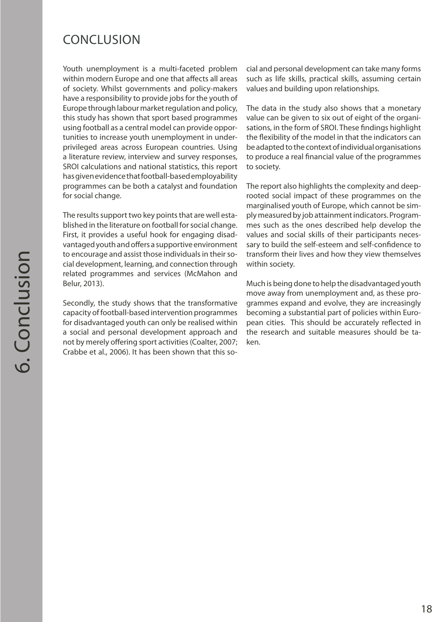## CONCLUSION

Youth unemployment is a multi-faceted problem within modern Europe and one that affects all areas of society. Whilst governments and policy-makers have a responsibility to provide jobs for the youth of Europe through labour market regulation and policy, this study has shown that sport based programmes using football as a central model can provide opportunities to increase youth unemployment in underprivileged areas across European countries. Using a literature review, interview and survey responses, SROI calculations and national statistics, this report has given evidence that football-based employability programmes can be both a catalyst and foundation for social change.

The results support two key points that are well established in the literature on football for social change. First, it provides a useful hook for engaging disadvantaged youth and offers a supportive environment to encourage and assist those individuals in their social development, learning, and connection through related programmes and services (McMahon and Belur, 2013).

Secondly, the study shows that the transformative capacity of football-based intervention programmes for disadvantaged youth can only be realised within a social and personal development approach and not by merely offering sport activities (Coalter, 2007; Crabbe et al., 2006). It has been shown that this social and personal development can take many forms such as life skills, practical skills, assuming certain values and building upon relationships.

The data in the study also shows that a monetary value can be given to six out of eight of the organisations, in the form of SROI. These findings highlight the flexibility of the model in that the indicators can be adapted to the context of individual organisations to produce a real financial value of the programmes to society.

The report also highlights the complexity and deeprooted social impact of these programmes on the marginalised youth of Europe, which cannot be simply measured by job attainment indicators. Programmes such as the ones described help develop the values and social skills of their participants necessary to build the self-esteem and self-confidence to transform their lives and how they view themselves within society.

Much is being done to help the disadvantaged youth move away from unemployment and, as these programmes expand and evolve, they are increasingly becoming a substantial part of policies within European cities. This should be accurately reflected in the research and suitable measures should be taken.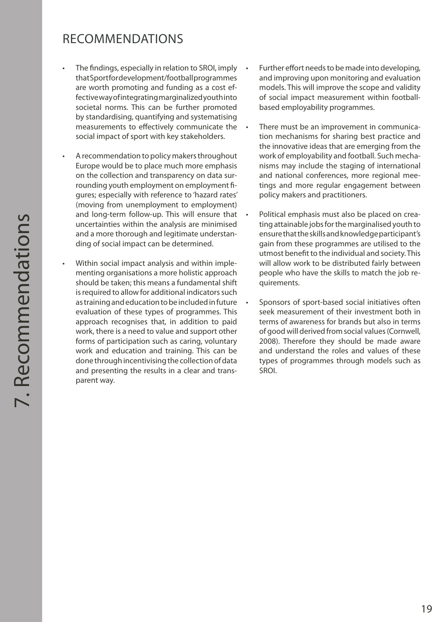## RECOMMENDATIONS

- The findings, especially in relation to SROI, imply that Sport for development/football programmes are worth promoting and funding as a cost effective way of integrating marginalized youth into societal norms. This can be further promoted by standardising, quantifying and systematising measurements to effectively communicate the social impact of sport with key stakeholders.
- A recommendation to policy makers throughout Europe would be to place much more emphasis on the collection and transparency on data surrounding youth employment on employment figures; especially with reference to 'hazard rates' (moving from unemployment to employment) and long-term follow-up. This will ensure that uncertainties within the analysis are minimised and a more thorough and legitimate understanding of social impact can be determined.
- Within social impact analysis and within implementing organisations a more holistic approach should be taken; this means a fundamental shift is required to allow for additional indicators such as training and education to be included in future evaluation of these types of programmes. This approach recognises that, in addition to paid work, there is a need to value and support other forms of participation such as caring, voluntary work and education and training. This can be done through incentivising the collection of data and presenting the results in a clear and transparent way.
- Further effort needs to be made into developing, and improving upon monitoring and evaluation models. This will improve the scope and validity of social impact measurement within footballbased employability programmes.
- There must be an improvement in communication mechanisms for sharing best practice and the innovative ideas that are emerging from the work of employability and football. Such mechanisms may include the staging of international and national conferences, more regional meetings and more regular engagement between policy makers and practitioners.
- Political emphasis must also be placed on creating attainable jobs for the marginalised youth to ensure that the skills and knowledge participant's gain from these programmes are utilised to the utmost benefit to the individual and society. This will allow work to be distributed fairly between people who have the skills to match the job requirements.
- • Sponsors of sport-based social initiatives often seek measurement of their investment both in terms of awareness for brands but also in terms of good will derived from social values (Cornwell, 2008). Therefore they should be made aware and understand the roles and values of these types of programmes through models such as SROI.

19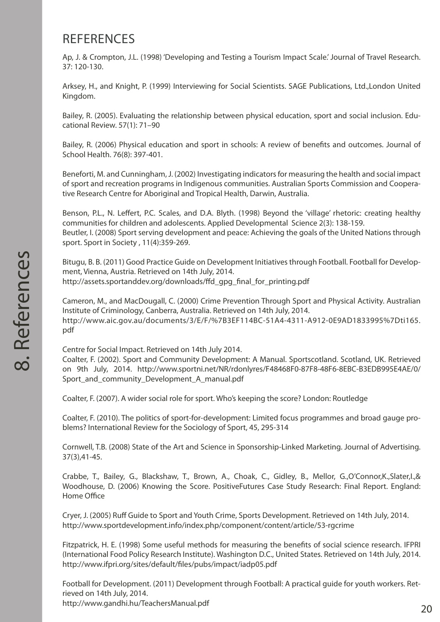## **REFERENCES**

Ap, J. & Crompton, J.L. (1998) 'Developing and Testing a Tourism Impact Scale.' Journal of Travel Research. 37: 120-130.

Arksey, H., and Knight, P. (1999) Interviewing for Social Scientists. SAGE Publications, Ltd.,London United Kingdom.

Bailey, R. (2005). Evaluating the relationship between physical education, sport and social inclusion. Educational Review. 57(1): 71–90

Bailey, R. (2006) Physical education and sport in schools: A review of benefits and outcomes. Journal of School Health. 76(8): 397-401.

Beneforti, M. and Cunningham, J. (2002) Investigating indicators for measuring the health and social impact of sport and recreation programs in Indigenous communities. Australian Sports Commission and Cooperative Research Centre for Aboriginal and Tropical Health, Darwin, Australia.

Benson, P.L., N. Leffert, P.C. Scales, and D.A. Blyth. (1998) Beyond the 'village' rhetoric: creating healthy communities for children and adolescents. Applied Developmental Science 2(3): 138-159. Beutler, I. (2008) Sport serving development and peace: Achieving the goals of the United Nations through sport. Sport in Society , 11(4):359-269.

Bitugu, B. B. (2011) Good Practice Guide on Development Initiatives through Football. Football for Development, Vienna, Austria. Retrieved on 14th July, 2014. http://assets.sportanddev.org/downloads/ffd\_gpg\_final\_for\_printing.pdf

Cameron, M., and MacDougall, C. (2000) Crime Prevention Through Sport and Physical Activity. Australian Institute of Criminology, Canberra, Australia. Retrieved on 14th July, 2014. http://www.aic.gov.au/documents/3/E/F/%7B3EF114BC-51A4-4311-A912-0E9AD1833995%7Dti165. pdf

Centre for Social Impact. Retrieved on 14th July 2014.

Coalter, F. (2002). Sport and Community Development: A Manual. Sportscotland. Scotland, UK. Retrieved on 9th July, 2014. http://www.sportni.net/NR/rdonlyres/F48468F0-87F8-48F6-8EBC-B3EDB995E4AE/0/ Sport and community Development A manual.pdf

Coalter, F. (2007). A wider social role for sport. Who's keeping the score? London: Routledge

Coalter, F. (2010). The politics of sport-for-development: Limited focus programmes and broad gauge problems? International Review for the Sociology of Sport, 45, 295-314

Cornwell, T.B. (2008) State of the Art and Science in Sponsorship-Linked Marketing. Journal of Advertising. 37(3),41-45.

Crabbe, T., Bailey, G., Blackshaw, T., Brown, A., Choak, C., Gidley, B., Mellor, G.,O'Connor,K.,Slater,I.,& Woodhouse, D. (2006) Knowing the Score. PositiveFutures Case Study Research: Final Report. England: Home Office

Cryer, J. (2005) Ruff Guide to Sport and Youth Crime, Sports Development. Retrieved on 14th July, 2014. http://www.sportdevelopment.info/index.php/component/content/article/53-rgcrime

Fitzpatrick, H. E. (1998) Some useful methods for measuring the benefits of social science research. IFPRI (International Food Policy Research Institute). Washington D.C., United States. Retrieved on 14th July, 2014. http://www.ifpri.org/sites/default/files/pubs/impact/iadp05.pdf

Football for Development. (2011) Development through Football: A practical guide for youth workers. Retrieved on 14th July, 2014. http://www.gandhi.hu/TeachersManual.pdf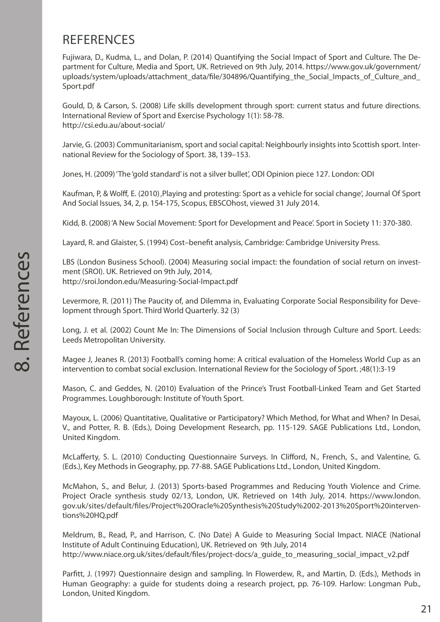## **REFERENCES**

Fujiwara, D., Kudma, L., and Dolan, P. (2014) Quantifying the Social Impact of Sport and Culture. The Department for Culture, Media and Sport, UK. Retrieved on 9th July, 2014. https://www.gov.uk/government/ uploads/system/uploads/attachment\_data/file/304896/Quantifying\_the\_Social\_Impacts\_of\_Culture\_and\_ Sport.pdf

Gould, D, & Carson, S. (2008) Life skills development through sport: current status and future directions. International Review of Sport and Exercise Psychology 1(1): 58-78. http://csi.edu.au/about-social/

Jarvie, G. (2003) Communitarianism, sport and social capital: Neighbourly insights into Scottish sport. International Review for the Sociology of Sport. 38, 139–153.

Jones, H. (2009) 'The 'gold standard' is not a silver bullet', ODI Opinion piece 127. London: ODI

Kaufman, P, & Wolff, E. (2010), Playing and protesting: Sport as a vehicle for social change', Journal Of Sport And Social Issues, 34, 2, p. 154-175, Scopus, EBSCOhost, viewed 31 July 2014.

Kidd, B. (2008) 'A New Social Movement: Sport for Development and Peace'. Sport in Society 11: 370-380.

Layard, R. and Glaister, S. (1994) Cost–benefit analysis, Cambridge: Cambridge University Press.

LBS (London Business School). (2004) Measuring social impact: the foundation of social return on investment (SROI). UK. Retrieved on 9th July, 2014, http://sroi.london.edu/Measuring-Social-Impact.pdf

Levermore, R. (2011) The Paucity of, and Dilemma in, Evaluating Corporate Social Responsibility for Development through Sport. Third World Quarterly. 32 (3)

Long, J. et al. (2002) Count Me In: The Dimensions of Social Inclusion through Culture and Sport. Leeds: Leeds Metropolitan University.

Magee J, Jeanes R. (2013) Football's coming home: A critical evaluation of the Homeless World Cup as an intervention to combat social exclusion. International Review for the Sociology of Sport. ;48(1):3-19

Mason, C. and Geddes, N. (2010) Evaluation of the Prince's Trust Football-Linked Team and Get Started Programmes. Loughborough: Institute of Youth Sport.

Mayoux, L. (2006) Quantitative, Qualitative or Participatory? Which Method, for What and When? In Desai, V., and Potter, R. B. (Eds.), Doing Development Research, pp. 115-129. SAGE Publications Ltd., London, United Kingdom.

McLafferty, S. L. (2010) Conducting Questionnaire Surveys. In Clifford, N., French, S., and Valentine, G. (Eds.), Key Methods in Geography, pp. 77-88. SAGE Publications Ltd., London, United Kingdom.

McMahon, S., and Belur, J. (2013) Sports-based Programmes and Reducing Youth Violence and Crime. Project Oracle synthesis study 02/13, London, UK. Retrieved on 14th July, 2014. https://www.london. gov.uk/sites/default/files/Project%20Oracle%20Synthesis%20Study%2002-2013%20Sport%20interventions%20HQ.pdf

Meldrum, B., Read, P., and Harrison, C. (No Date) A Guide to Measuring Social Impact. NIACE (National Institute of Adult Continuing Education), UK. Retrieved on 9th July, 2014 http://www.niace.org.uk/sites/default/files/project-docs/a\_guide\_to\_measuring\_social\_impact\_v2.pdf

Parfitt, J. (1997) Questionnaire design and sampling. In Flowerdew, R., and Martin, D. (Eds.), Methods in Human Geography: a guide for students doing a research project, pp. 76-109. Harlow: Longman Pub., London, United Kingdom.